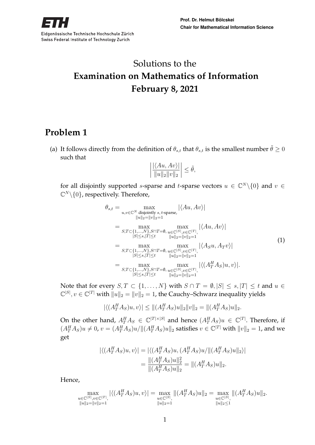# Solutions to the **Examination on Mathematics of Information February 8, 2021**

## **Problem 1**

(a) It follows directly from the definition of  $\theta_{s,t}$  that  $\theta_{s,t}$  is the smallest number  $\tilde{\theta} \ge 0$ such that

$$
\left| \frac{\left| \langle Au, Av \rangle \right|}{\|u\|_2 \|v\|_2} \right| \le \tilde{\theta},
$$

for all disjointly supported *s*-sparse and *t*-sparse vectors  $u \in \mathbb{C}^N \setminus \{0\}$  and  $v \in$  $\mathbb{C}^N\backslash\{0\}$ , respectively. Therefore,

$$
\theta_{s,t} = \max_{u,v \in \mathbb{C}^N \text{ disjointly } s,t\text{-sparse,}} |\langle Au, Av \rangle|
$$
  
\n
$$
\|u\|_{2} = \|v\|_{2} = 1
$$
  
\n
$$
= \max_{S,T \subset \{1,\ldots,N\}, S \cap T = \emptyset, u \in \mathbb{C}^{|S|}, v \in \mathbb{C}^{|T|}, \atop \|u\|_{2} = \|v\|_{2} = 1} |\langle Au, Av \rangle|
$$
  
\n
$$
= \max_{S,T \subset \{1,\ldots,N\}, S \cap T = \emptyset, u \in \mathbb{C}^{|S|}, v \in \mathbb{C}^{|T|}, \atop \|S| \le s, |T| \le t} \max_{\|u\|_{2} = \|v\|_{2} = 1} |\langle Asu, A_T v \rangle|
$$
  
\n
$$
= \max_{S,T \subset \{1,\ldots,N\}, S \cap T = \emptyset, u \in \mathbb{C}^{|S|}, v \in \mathbb{C}^{|T|}, \atop \|u\|_{2} = \|v\|_{2} = 1} |\langle (A_T^H A_S)u, v \rangle|.
$$
  
\n
$$
\|S| \le s, |T| \le t \min_{\|u\|_{2} = \|v\|_{2} = 1} |\langle (A_T^H A_S)u, v \rangle|.
$$
  
\n(1)

Note that for every  $S, T \subset \{1, ..., N\}$  with  $S \cap T = \emptyset, |S| \leq s, |T| \leq t$  and  $u \in$  $\mathbb{C}^{|S|}, v \in \mathbb{C}^{|T|}$  with  $||u||_2 = ||v||_2 = 1$ , the Cauchy–Schwarz inequality yields

 $|\langle (A_T^H A_S)u, v \rangle| \le ||(A_T^H A_S)u||_2 ||v||_2 = ||(A_T^H A_S)u||_2.$ 

On the other hand,  $A_T^H A_S \in \mathbb{C}^{|T| \times |S|}$  and hence  $(A_T^H A_S)u \in \mathbb{C}^{|T|}$ . Therefore, if  $(A_T^H A_S)u \neq 0$ ,  $v = (A_T^H A_S)u/\|(A_T^H A_S)u\|_2$  satisfies  $v \in \mathbb{C}^{|T|}$  with  $||v||_2 = 1$ , and we get

$$
\begin{aligned} |\langle (A_T^H A_S)u, v \rangle| &= |\langle (A_T^H A_S)u, (A_T^H A_S)u / || (A_T^H A_S)u ||_2 \rangle| \\ &= \frac{\|(A_T^H A_S)u\|_2^2}{\|(A_T^H A_S)u\|_2} = \|(A_T^H A_S)u\|_2. \end{aligned}
$$

Hence,

$$
\max_{\substack{u \in \mathbb{C}^{|S|}, v \in \mathbb{C}^{|T|}, \\ \|u\|_2 = \|v\|_2 = 1}} |\langle (A^H_T A_S)u, v \rangle| = \max_{\substack{u \in \mathbb{C}^{|S|}, \\ \|u\|_2 = 1}} \| (A^H_T A_S)u \|_2 = \max_{\substack{u \in \mathbb{C}^{|S|}, \\ \|u\|_2 \le 1}} \| (A^H_T A_S)u \|_2.
$$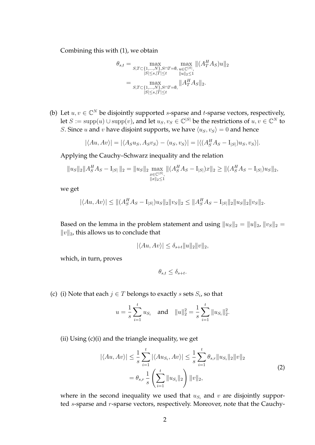Combining this with (1), we obtain

$$
\theta_{s,t} = \max_{S,T \subset \{1,\ldots,N\}, S \cap T = \emptyset, \ u \in \mathbb{C}^{|S|}, \atop |S| \le s, |T| \le t} \max_{u \in \mathbb{C}^{|S|}, \atop \|u\|_2 \le 1} \|(A_T^H A_S)u\|_2
$$

$$
= \max_{S,T \subset \{1,\ldots,N\}, S \cap T = \emptyset, \atop |S| \le s, |T| \le t} \|A_T^H A_S\|_2.
$$

(b) Let  $u, v \in \mathbb{C}^N$  be disjointly supported *s*-sparse and *t*-sparse vectors, respectively, let  $S := \text{supp}(u) \cup \text{supp}(v)$ , and let  $u_S, v_S \in \mathbb{C}^{|S|}$  be the restrictions of  $u, v \in \mathbb{C}^N$  to *S*. Since *u* and *v* have disjoint supports, we have  $\langle u_s, v_s \rangle = 0$  and hence

$$
|\langle Au, Av \rangle| = |\langle A_S u_S, A_S v_S \rangle - \langle u_S, v_S \rangle| = |\langle (A_S^H A_S - I_{|S|}) u_S, v_S \rangle|.
$$

Applying the Cauchy–Schwarz inequality and the relation

$$
||u_S||_2||A_S^H A_S - I_{|S|}||_2 = ||u_S||_2 \max_{\substack{x \in \mathbb{C}^{|S|}, \\ ||x||_2 \le 1}} ||(A_S^H A_S - I_{|S|})x||_2 \ge ||(A_S^H A_S - I_{|S|})u_S||_2,
$$

we get

$$
|\langle Au, Av \rangle| \le ||(A_S^H A_S - I_{|S|})u_S||_2 ||v_S||_2 \le ||A_S^H A_S - I_{|S|}||_2 ||u_S||_2 ||v_S||_2.
$$

Based on the lemma in the problem statement and using  $||u_s||_2 = ||u||_2$ ,  $||v_s||_2 =$  $||v||_2$ , this allows us to conclude that

$$
|\langle Au, Av \rangle| \le \delta_{s+t} ||u||_2 ||v||_2,
$$

which, in turn, proves

$$
\theta_{s,t} \le \delta_{s+t}.
$$

(c) (i) Note that each  $j \in T$  belongs to exactly s sets  $S_i$ , so that

$$
u = \frac{1}{s} \sum_{i=1}^{t} u_{S_i}
$$
 and  $||u||_2^2 = \frac{1}{s} \sum_{i=1}^{t} ||u_{S_i}||_2^2$ .

(ii) Using (c)(i) and the triangle inequality, we get

$$
|\langle Au, Av \rangle| \leq \frac{1}{s} \sum_{i=1}^{t} |\langle Au_{S_i}, Av \rangle| \leq \frac{1}{s} \sum_{i=1}^{t} \theta_{s,r} ||u_{S_i}||_2 ||v||_2
$$
  
=  $\theta_{s,r} \frac{1}{s} \left( \sum_{i=1}^{t} ||u_{S_i}||_2 \right) ||v||_2,$  (2)

where in the second inequality we used that  $u_{S_i}$  and  $v$  are disjointly supported s-sparse and r-sparse vectors, respectively. Moreover, note that the Cauchy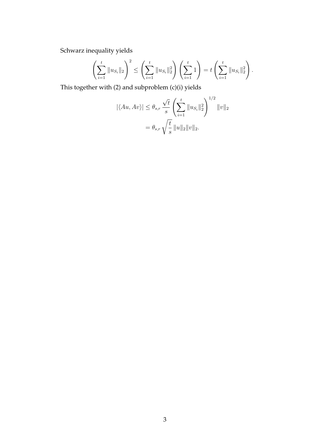Schwarz inequality yields

$$
\left(\sum_{i=1}^t \|u_{S_i}\|_2\right)^2 \le \left(\sum_{i=1}^t \|u_{S_i}\|_2^2\right) \left(\sum_{i=1}^t 1\right) = t \left(\sum_{i=1}^t \|u_{S_i}\|_2^2\right).
$$

This together with (2) and subproblem (c)(i) yields

$$
|\langle Au, Av \rangle| \leq \theta_{s,r} \frac{\sqrt{t}}{s} \left( \sum_{i=1}^{t} ||u_{S_i}||_2^2 \right)^{1/2} ||v||_2
$$
  
=  $\theta_{s,r} \sqrt{\frac{t}{s}} ||u||_2 ||v||_2$ .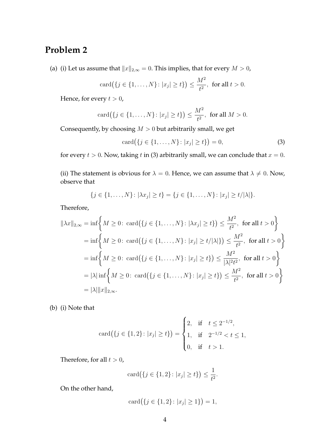### **Problem 2**

(a) (i) Let us assume that  $||x||_{2,\infty} = 0$ . This implies, that for every  $M > 0$ ,

$$
card({j \in \{1, ..., N\} : |x_j| \ge t\}) \le \frac{M^2}{t^2}, \text{ for all } t > 0.
$$

Hence, for every  $t > 0$ ,

$$
card({j \in \{1, ..., N\}} : |x_j| \ge t\}) \le \frac{M^2}{t^2}, \text{ for all } M > 0.
$$

Consequently, by choosing  $M > 0$  but arbitrarily small, we get

$$
card({j \in {1, ..., N}: |x_j| \ge t}) = 0,
$$
\n(3)

for every  $t > 0$ . Now, taking t in (3) arbitrarily small, we can conclude that  $x = 0$ .

(ii) The statement is obvious for  $\lambda = 0$ . Hence, we can assume that  $\lambda \neq 0$ . Now, observe that

$$
\{j \in \{1, \ldots, N\} \colon |\lambda x_j| \ge t\} = \{j \in \{1, \ldots, N\} \colon |x_j| \ge t/|\lambda|\}.
$$

Therefore,

$$
\|\lambda x\|_{2,\infty} = \inf \left\{ M \ge 0 \colon \text{card}(\{j \in \{1, ..., N\} : |\lambda x_j| \ge t\}) \le \frac{M^2}{t^2}, \text{ for all } t > 0 \right\}
$$
  
=  $\inf \left\{ M \ge 0 \colon \text{card}(\{j \in \{1, ..., N\} : |x_j| \ge t/|\lambda|\}) \le \frac{M^2}{t^2}, \text{ for all } t > 0 \right\}$   
=  $\inf \left\{ M \ge 0 \colon \text{card}(\{j \in \{1, ..., N\} : |x_j| \ge t\}) \le \frac{M^2}{|\lambda|^2 t^2}, \text{ for all } t > 0 \right\}$   
=  $|\lambda| \inf \left\{ M \ge 0 \colon \text{card}(\{j \in \{1, ..., N\} : |x_j| \ge t\}) \le \frac{M^2}{t^2}, \text{ for all } t > 0 \right\}$   
=  $|\lambda| \|x\|_{2,\infty}$ .

(b) (i) Note that

$$
card({j \in {1, 2}: |x_j| \ge t}) = \begin{cases} 2, & \text{if } t \le 2^{-1/2}, \\ 1, & \text{if } 2^{-1/2} < t \le 1, \\ 0, & \text{if } t > 1. \end{cases}
$$

Therefore, for all  $t > 0$ ,

$$
card({j \in {1, 2}: |x_j| \ge t}) \le \frac{1}{t^2}.
$$

On the other hand,

$$
card({j \in {1, 2}: |x_j| \ge 1}) = 1,
$$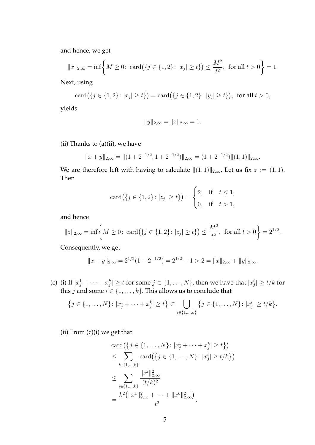and hence, we get

$$
||x||_{2,\infty} = \inf \left\{ M \ge 0: \operatorname{card}(\{j \in \{1,2\} : |x_j| \ge t\}) \le \frac{M^2}{t^2}, \text{ for all } t > 0 \right\} = 1.
$$

Next, using

$$
card({j \in {1, 2}: |x_j| \ge t}) = card({j \in {1, 2}: |y_j| \ge t}), \text{ for all } t > 0,
$$

yields

$$
||y||_{2,\infty} = ||x||_{2,\infty} = 1.
$$

(ii) Thanks to  $(a)$ (ii), we have

$$
||x + y||_{2,\infty} = ||(1 + 2^{-1/2}, 1 + 2^{-1/2})||_{2,\infty} = (1 + 2^{-1/2})||(1,1)||_{2,\infty}.
$$

We are therefore left with having to calculate  $||(1, 1)||_{2,\infty}$ . Let us fix  $z := (1, 1)$ . Then

$$
card({j \in {1, 2}: |z_j| \ge t}) = \begin{cases} 2, & \text{if } t \le 1, \\ 0, & \text{if } t > 1, \end{cases}
$$

and hence

$$
\|z\|_{2,\infty} = \inf\left\{M \ge 0 \colon \operatorname{card}\left(\{j \in \{1,2\} : |z_j| \ge t\}\right) \le \frac{M^2}{t^2}, \text{ for all } t > 0\right\} = 2^{1/2}.
$$

Consequently, we get

$$
||x + y||_{2,\infty} = 2^{1/2} (1 + 2^{-1/2}) = 2^{1/2} + 1 > 2 = ||x||_{2,\infty} + ||y||_{2,\infty}.
$$

(c) (i) If  $|x_j^1 + \cdots + x_j^k| \ge t$  for some  $j \in \{1, \ldots, N\}$ , then we have that  $|x_j^i| \ge t/k$  for this *j* and some  $i \in \{1, \ldots, k\}$ . This allows us to conclude that

$$
\{j \in \{1, \ldots, N\} \colon |x_j^1 + \cdots + x_j^k| \ge t\} \subset \bigcup_{i \in \{1, \ldots, k\}} \{j \in \{1, \ldots, N\} \colon |x_j^i| \ge t/k\}.
$$

 $(ii)$  From  $(c)(i)$  we get that

$$
card({j \in {1, ..., N}: |x_j^1 + \cdots + x_j^k| \ge t})
$$
  
\n
$$
\leq \sum_{i \in {1, ..., k}} card({j \in {1, ..., N}: |x_j^i| \ge t/k})
$$
  
\n
$$
\leq \sum_{i \in {1, ..., k}} \frac{||x^i||_{2,\infty}^2}{(t/k)^2}
$$
  
\n
$$
= \frac{k^2(||x^1||_{2,\infty}^2 + \cdots + ||x^k||_{2,\infty}^2)}{t^2}.
$$

 $\cdot$ )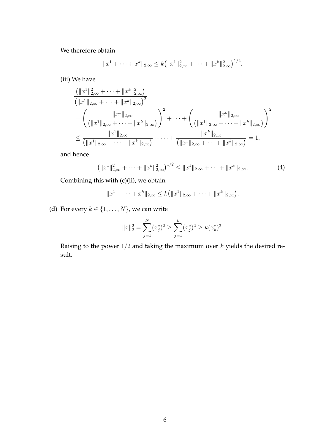We therefore obtain

$$
||x^1 + \cdots + x^k||_{2,\infty} \le k (||x^1||_{2,\infty}^2 + \cdots + ||x^k||_{2,\infty}^2)^{1/2}.
$$

(iii) We have

$$
\frac{(\|x^1\|_{2,\infty}^2 + \dots + \|x^k\|_{2,\infty}^2)}{(\|x^1\|_{2,\infty} + \dots + \|x^k\|_{2,\infty})^2}
$$
\n
$$
= \left(\frac{\|x^1\|_{2,\infty}}{(\|x^1\|_{2,\infty} + \dots + \|x^k\|_{2,\infty})}\right)^2 + \dots + \left(\frac{\|x^k\|_{2,\infty}}{(\|x^1\|_{2,\infty} + \dots + \|x^k\|_{2,\infty})}\right)^2
$$
\n
$$
\leq \frac{\|x^1\|_{2,\infty}}{(\|x^1\|_{2,\infty} + \dots + \|x^k\|_{2,\infty})} + \dots + \frac{\|x^k\|_{2,\infty}}{(\|x^1\|_{2,\infty} + \dots + \|x^k\|_{2,\infty})} = 1,
$$

and hence

$$
\left(\|x^1\|_{2,\infty}^2 + \dots + \|x^k\|_{2,\infty}^2\right)^{1/2} \le \|x^1\|_{2,\infty} + \dots + \|x^k\|_{2,\infty}.\tag{4}
$$

Combining this with (c)(ii), we obtain

$$
||x^1 + \cdots + x^k||_{2,\infty} \le k(||x^1||_{2,\infty} + \cdots + ||x^k||_{2,\infty}).
$$

(d) For every  $k \in \{1, \ldots, N\}$ , we can write

$$
||x||_2^2 = \sum_{j=1}^N (x_j^*)^2 \ge \sum_{j=1}^k (x_j^*)^2 \ge k(x_k^*)^2.
$$

Raising to the power  $1/2$  and taking the maximum over  $k$  yields the desired result.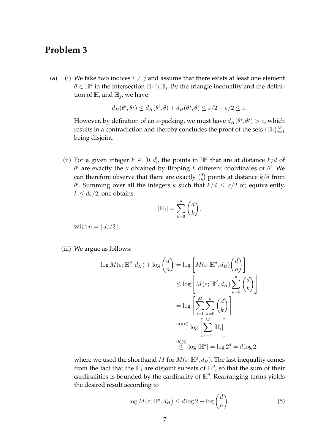#### **Problem 3**

(a) (i) We take two indices  $i \neq j$  and assume that there exists at least one element  $\theta \in \mathbb{H}^d$  in the intersection  $\mathbb{H}_i \cap \mathbb{H}_j$ . By the triangle inequality and the definition of  $\mathbb{H}_i$  and  $\mathbb{H}_j$ , we have

$$
d_H(\theta^i, \theta^j) \le d_H(\theta^i, \theta) + d_H(\theta^j, \theta) \le \varepsilon/2 + \varepsilon/2 \le \varepsilon.
$$

However, by definition of an  $\varepsilon$ -packing, we must have  $d_H(\theta^i, \theta^j) > \varepsilon$ , which results in a contradiction and thereby concludes the proof of the sets  $\{\mathbb{H}_i\}_{i=1}^M$ being disjoint.

(ii) For a given integer  $k \in [0, d]$ , the points in  $\mathbb{H}^d$  that are at distance  $k/d$  of  $\theta^i$  are exactly the  $\theta$  obtained by flipping k different coordinates of  $\theta^i$ . We can therefore observe that there are exactly  $\binom{d}{k}$  $\binom{d}{k}$  points at distance  $k/d$  from  $\theta^i$ . Summing over all the integers k such that  $k/d \leq \varepsilon/2$  or, equivalently,  $k \leq d\varepsilon/2$ , one obtains

$$
|\mathbb{H}_i| = \sum_{k=0}^n \binom{d}{k},
$$

with  $n = \lfloor d\varepsilon/2 \rfloor$ .

(iii) We argue as follows:

$$
\log M(\varepsilon; \mathbb{H}^d, d_H) + \log {d \choose n} = \log \left[ M(\varepsilon; \mathbb{H}^d, d_H) {d \choose n} \right]
$$
  
\n
$$
\leq \log \left[ M(\varepsilon; \mathbb{H}^d, d_H) \sum_{k=0}^n {d \choose k} \right]
$$
  
\n
$$
= \log \left[ \sum_{i=1}^M \sum_{k=0}^n {d \choose k} \right]
$$
  
\n
$$
\stackrel{(a)(ii)}{=} \log \left[ \sum_{i=1}^M |\mathbb{H}_i| \right]
$$
  
\n
$$
\stackrel{(b)(i)}{\leq} \log |\mathbb{H}^d| = \log 2^d = d \log 2,
$$

where we used the shorthand  $M$  for  $M(\varepsilon;{\mathbb H}^d,d_H).$  The last inequality comes from the fact that the  $\mathbb{H}_i$  are disjoint subsets of  $\mathbb{H}^d$ , so that the sum of their cardinalities is bounded by the cardinality of  $\mathbb{H}^d$ . Rearranging terms yields the desired result according to

$$
\log M(\varepsilon; \mathbb{H}^d, d_H) \le d \log 2 - \log {d \choose n}.
$$
 (5)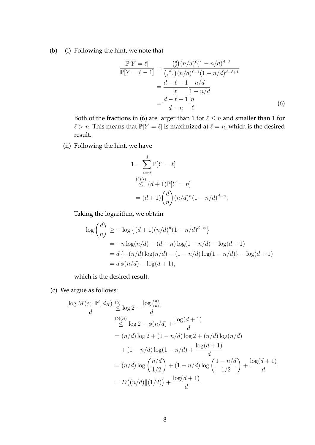(b) (i) Following the hint, we note that

$$
\frac{\mathbb{P}[Y = \ell]}{\mathbb{P}[Y = \ell - 1]} = \frac{\binom{d}{\ell} (n/d)^{\ell} (1 - n/d)^{d - \ell}}{\binom{d}{\ell - 1} (n/d)^{\ell - 1} (1 - n/d)^{d - \ell + 1}}
$$

$$
= \frac{d - \ell + 1}{\ell} \frac{n/d}{1 - n/d}
$$

$$
= \frac{d - \ell + 1}{d - n} \frac{n}{\ell}.
$$
(6)

Both of the fractions in (6) are larger than 1 for  $\ell \le n$  and smaller than 1 for  $\ell > n$ . This means that  $\mathbb{P}[Y = \ell]$  is maximized at  $\ell = n$ , which is the desired result.

(ii) Following the hint, we have

$$
1 = \sum_{\ell=0}^{d} \mathbb{P}[Y = \ell]
$$
  
\n(b)(i)  
\n
$$
\leq (d+1)\mathbb{P}[Y = n]
$$
  
\n
$$
= (d+1)\binom{d}{n}(n/d)^{n}(1 - n/d)^{d-n}.
$$

Taking the logarithm, we obtain

$$
\log {d \choose n} \ge -\log \{(d+1)(n/d)^n (1 - n/d)^{d-n}\}\
$$
  
=  $-n \log(n/d) - (d-n) \log(1 - n/d) - \log(d+1)$   
=  $d \{-(n/d) \log(n/d) - (1 - n/d) \log(1 - n/d)\} - \log(d+1)$   
=  $d \phi(n/d) - \log(d+1)$ ,

which is the desired result.

(c) We argue as follows:

$$
\frac{\log M(\varepsilon; \mathbb{H}^d, d_H)}{d} \stackrel{(5)}{\leq} \log 2 - \frac{\log {d \choose n}}{d}
$$
\n
$$
\stackrel{(b)(ii)}{\leq} \log 2 - \phi(n/d) + \frac{\log(d+1)}{d}
$$
\n
$$
= (n/d) \log 2 + (1 - n/d) \log 2 + (n/d) \log(n/d)
$$
\n
$$
+ (1 - n/d) \log(1 - n/d) + \frac{\log(d+1)}{d}
$$
\n
$$
= (n/d) \log \left(\frac{n/d}{1/2}\right) + (1 - n/d) \log \left(\frac{1 - n/d}{1/2}\right) + \frac{\log(d+1)}{d}
$$
\n
$$
= D((n/d) \| (1/2)) + \frac{\log(d+1)}{d}.
$$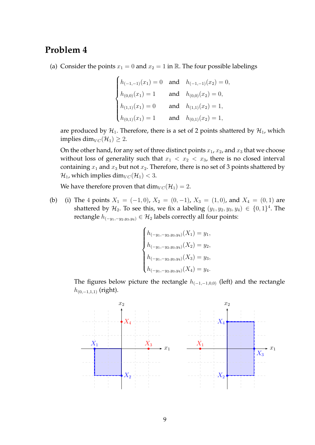### **Problem 4**

(a) Consider the points  $x_1 = 0$  and  $x_2 = 1$  in R. The four possible labelings

$$
\begin{cases}\nh_{(-1,-1)}(x_1) = 0 & \text{and} \quad h_{(-1,-1)}(x_2) = 0, \\
h_{(0,0)}(x_1) = 1 & \text{and} \quad h_{(0,0)}(x_2) = 0, \\
h_{(1,1)}(x_1) = 0 & \text{and} \quad h_{(1,1)}(x_2) = 1, \\
h_{(0,1)}(x_1) = 1 & \text{and} \quad h_{(0,1)}(x_2) = 1,\n\end{cases}
$$

are produced by  $\mathcal{H}_1$ . Therefore, there is a set of 2 points shattered by  $\mathcal{H}_1$ , which implies dim $_{VC}(\mathcal{H}_1) \geq 2$ .

On the other hand, for any set of three distinct points  $x_1$ ,  $x_2$ , and  $x_3$  that we choose without loss of generality such that  $x_1 < x_2 < x_3$ , there is no closed interval containing  $x_1$  and  $x_3$  but not  $x_2$ . Therefore, there is no set of 3 points shattered by  $\mathcal{H}_1$ , which implies dim $_{VC}(\mathcal{H}_1) < 3$ .

We have therefore proven that  $\dim_{VC}(\mathcal{H}_1) = 2$ .

(b) (i) The 4 points  $X_1 = (-1, 0)$ ,  $X_2 = (0, -1)$ ,  $X_3 = (1, 0)$ , and  $X_4 = (0, 1)$  are shattered by  $\mathcal{H}_2$ . To see this, we fix a labeling  $(y_1, y_2, y_3, y_4) \in \{0, 1\}^4$ . The rectangle  $h_{(-y_1,-y_2,y_3,y_4)} ∈ H_2$  labels correctly all four points:

$$
\begin{cases}\nh_{(-y_1, -y_2, y_3, y_4)}(X_1) = y_1, \\
h_{(-y_1, -y_2, y_3, y_4)}(X_2) = y_2, \\
h_{(-y_1, -y_2, y_3, y_4)}(X_3) = y_3, \\
h_{(-y_1, -y_2, y_3, y_4)}(X_4) = y_4.\n\end{cases}
$$

The figures below picture the rectangle  $h_{(-1,-1,0,0)}$  (left) and the rectangle  $h_{(0,-1,1,1)}$  (right).